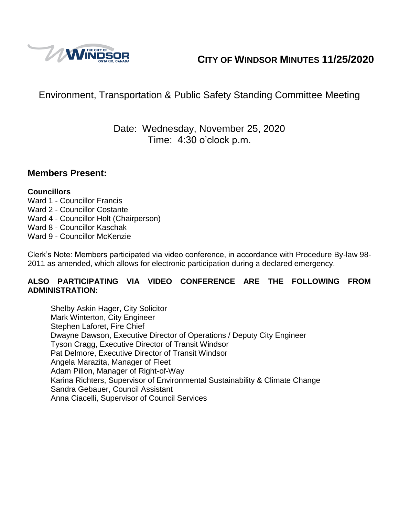

# **CITY OF WINDSOR MINUTES 11/25/2020**

## Environment, Transportation & Public Safety Standing Committee Meeting

## Date: Wednesday, November 25, 2020 Time: 4:30 o'clock p.m.

### **Members Present:**

#### **Councillors**

- Ward 1 Councillor Francis
- Ward 2 Councillor Costante
- Ward 4 Councillor Holt (Chairperson)
- Ward 8 Councillor Kaschak
- Ward 9 Councillor McKenzie

Clerk's Note: Members participated via video conference, in accordance with Procedure By-law 98- 2011 as amended, which allows for electronic participation during a declared emergency.

#### **ALSO PARTICIPATING VIA VIDEO CONFERENCE ARE THE FOLLOWING FROM ADMINISTRATION:**

Shelby Askin Hager, City Solicitor Mark Winterton, City Engineer Stephen Laforet, Fire Chief Dwayne Dawson, Executive Director of Operations / Deputy City Engineer Tyson Cragg, Executive Director of Transit Windsor Pat Delmore, Executive Director of Transit Windsor Angela Marazita, Manager of Fleet Adam Pillon, Manager of Right-of-Way Karina Richters, Supervisor of Environmental Sustainability & Climate Change Sandra Gebauer, Council Assistant Anna Ciacelli, Supervisor of Council Services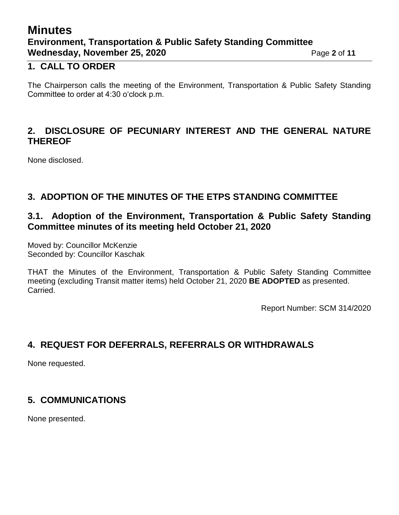## **Minutes Environment, Transportation & Public Safety Standing Committee Wednesday, November 25, 2020** Page 2 of 11

### **1. CALL TO ORDER**

The Chairperson calls the meeting of the Environment, Transportation & Public Safety Standing Committee to order at 4:30 o'clock p.m.

### **2. DISCLOSURE OF PECUNIARY INTEREST AND THE GENERAL NATURE THEREOF**

None disclosed.

## **3. ADOPTION OF THE MINUTES OF THE ETPS STANDING COMMITTEE**

### **3.1. Adoption of the Environment, Transportation & Public Safety Standing Committee minutes of its meeting held October 21, 2020**

Moved by: Councillor McKenzie Seconded by: Councillor Kaschak

THAT the Minutes of the Environment, Transportation & Public Safety Standing Committee meeting (excluding Transit matter items) held October 21, 2020 **BE ADOPTED** as presented. Carried.

Report Number: SCM 314/2020

### **4. REQUEST FOR DEFERRALS, REFERRALS OR WITHDRAWALS**

None requested.

### **5. COMMUNICATIONS**

None presented.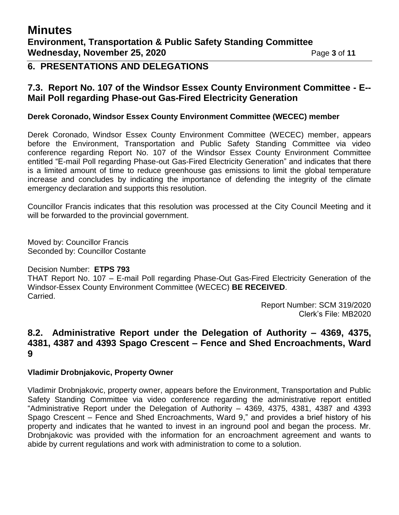### **6. PRESENTATIONS AND DELEGATIONS**

### **7.3. Report No. 107 of the Windsor Essex County Environment Committee - E-- Mail Poll regarding Phase-out Gas-Fired Electricity Generation**

#### **Derek Coronado, Windsor Essex County Environment Committee (WECEC) member**

Derek Coronado, Windsor Essex County Environment Committee (WECEC) member, appears before the Environment, Transportation and Public Safety Standing Committee via video conference regarding Report No. 107 of the Windsor Essex County Environment Committee entitled "E-mail Poll regarding Phase-out Gas-Fired Electricity Generation" and indicates that there is a limited amount of time to reduce greenhouse gas emissions to limit the global temperature increase and concludes by indicating the importance of defending the integrity of the climate emergency declaration and supports this resolution.

Councillor Francis indicates that this resolution was processed at the City Council Meeting and it will be forwarded to the provincial government.

Moved by: Councillor Francis Seconded by: Councillor Costante

#### Decision Number: **ETPS 793**

THAT Report No. 107 – E-mail Poll regarding Phase-Out Gas-Fired Electricity Generation of the Windsor-Essex County Environment Committee (WECEC) **BE RECEIVED**. Carried.

Report Number: SCM 319/2020 Clerk's File: MB2020

#### **8.2. Administrative Report under the Delegation of Authority – 4369, 4375, 4381, 4387 and 4393 Spago Crescent – Fence and Shed Encroachments, Ward 9**

#### **Vladimir Drobnjakovic, Property Owner**

Vladimir Drobnjakovic, property owner, appears before the Environment, Transportation and Public Safety Standing Committee via video conference regarding the administrative report entitled "Administrative Report under the Delegation of Authority – 4369, 4375, 4381, 4387 and 4393 Spago Crescent – Fence and Shed Encroachments, Ward 9," and provides a brief history of his property and indicates that he wanted to invest in an inground pool and began the process. Mr. Drobnjakovic was provided with the information for an encroachment agreement and wants to abide by current regulations and work with administration to come to a solution.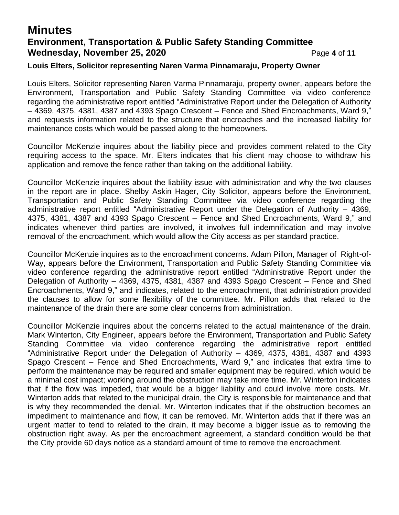## **Minutes Environment, Transportation & Public Safety Standing Committee Wednesday, November 25, 2020** Page 4 of 11

#### **Louis Elters, Solicitor representing Naren Varma Pinnamaraju, Property Owner**

Louis Elters, Solicitor representing Naren Varma Pinnamaraju, property owner, appears before the Environment, Transportation and Public Safety Standing Committee via video conference regarding the administrative report entitled "Administrative Report under the Delegation of Authority – 4369, 4375, 4381, 4387 and 4393 Spago Crescent – Fence and Shed Encroachments, Ward 9," and requests information related to the structure that encroaches and the increased liability for maintenance costs which would be passed along to the homeowners.

Councillor McKenzie inquires about the liability piece and provides comment related to the City requiring access to the space. Mr. Elters indicates that his client may choose to withdraw his application and remove the fence rather than taking on the additional liability.

Councillor McKenzie inquires about the liability issue with administration and why the two clauses in the report are in place. Shelby Askin Hager, City Solicitor, appears before the Environment, Transportation and Public Safety Standing Committee via video conference regarding the administrative report entitled "Administrative Report under the Delegation of Authority – 4369, 4375, 4381, 4387 and 4393 Spago Crescent – Fence and Shed Encroachments, Ward 9," and indicates whenever third parties are involved, it involves full indemnification and may involve removal of the encroachment, which would allow the City access as per standard practice.

Councillor McKenzie inquires as to the encroachment concerns. Adam Pillon, Manager of Right-of-Way, appears before the Environment, Transportation and Public Safety Standing Committee via video conference regarding the administrative report entitled "Administrative Report under the Delegation of Authority – 4369, 4375, 4381, 4387 and 4393 Spago Crescent – Fence and Shed Encroachments, Ward 9," and indicates, related to the encroachment, that administration provided the clauses to allow for some flexibility of the committee. Mr. Pillon adds that related to the maintenance of the drain there are some clear concerns from administration.

Councillor McKenzie inquires about the concerns related to the actual maintenance of the drain. Mark Winterton, City Engineer, appears before the Environment, Transportation and Public Safety Standing Committee via video conference regarding the administrative report entitled "Administrative Report under the Delegation of Authority – 4369, 4375, 4381, 4387 and 4393 Spago Crescent – Fence and Shed Encroachments, Ward 9," and indicates that extra time to perform the maintenance may be required and smaller equipment may be required, which would be a minimal cost impact; working around the obstruction may take more time. Mr. Winterton indicates that if the flow was impeded, that would be a bigger liability and could involve more costs. Mr. Winterton adds that related to the municipal drain, the City is responsible for maintenance and that is why they recommended the denial. Mr. Winterton indicates that if the obstruction becomes an impediment to maintenance and flow, it can be removed. Mr. Winterton adds that if there was an urgent matter to tend to related to the drain, it may become a bigger issue as to removing the obstruction right away. As per the encroachment agreement, a standard condition would be that the City provide 60 days notice as a standard amount of time to remove the encroachment.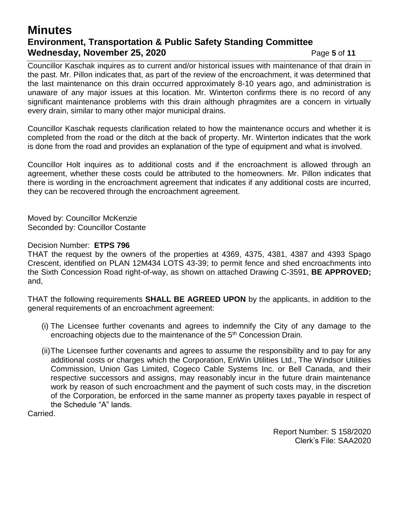## **Minutes Environment, Transportation & Public Safety Standing Committee Wednesday, November 25, 2020** Page 5 of 11

Councillor Kaschak inquires as to current and/or historical issues with maintenance of that drain in the past. Mr. Pillon indicates that, as part of the review of the encroachment, it was determined that the last maintenance on this drain occurred approximately 8-10 years ago, and administration is unaware of any major issues at this location. Mr. Winterton confirms there is no record of any significant maintenance problems with this drain although phragmites are a concern in virtually every drain, similar to many other major municipal drains.

Councillor Kaschak requests clarification related to how the maintenance occurs and whether it is completed from the road or the ditch at the back of property. Mr. Winterton indicates that the work is done from the road and provides an explanation of the type of equipment and what is involved.

Councillor Holt inquires as to additional costs and if the encroachment is allowed through an agreement, whether these costs could be attributed to the homeowners. Mr. Pillon indicates that there is wording in the encroachment agreement that indicates if any additional costs are incurred, they can be recovered through the encroachment agreement.

Moved by: Councillor McKenzie Seconded by: Councillor Costante

Decision Number: **ETPS 796**

THAT the request by the owners of the properties at 4369, 4375, 4381, 4387 and 4393 Spago Crescent, identified on PLAN 12M434 LOTS 43-39; to permit fence and shed encroachments into the Sixth Concession Road right-of-way, as shown on attached Drawing C-3591, **BE APPROVED;**  and,

THAT the following requirements **SHALL BE AGREED UPON** by the applicants, in addition to the general requirements of an encroachment agreement:

- (i) The Licensee further covenants and agrees to indemnify the City of any damage to the encroaching objects due to the maintenance of the 5<sup>th</sup> Concession Drain.
- (ii)The Licensee further covenants and agrees to assume the responsibility and to pay for any additional costs or charges which the Corporation, EnWin Utilities Ltd., The Windsor Utilities Commission, Union Gas Limited, Cogeco Cable Systems Inc. or Bell Canada, and their respective successors and assigns, may reasonably incur in the future drain maintenance work by reason of such encroachment and the payment of such costs may, in the discretion of the Corporation, be enforced in the same manner as property taxes payable in respect of the Schedule "A" lands.

Carried.

Report Number: S 158/2020 Clerk's File: SAA2020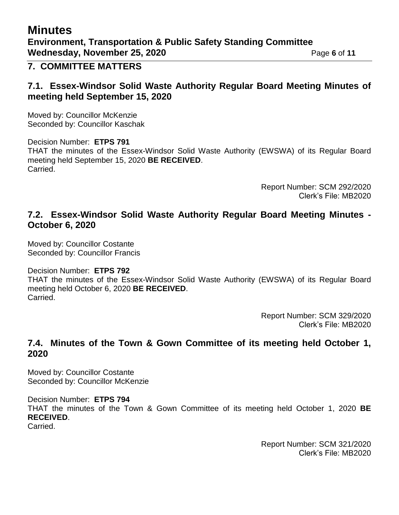# **Minutes**

#### **7. COMMITTEE MATTERS**

#### **7.1. Essex-Windsor Solid Waste Authority Regular Board Meeting Minutes of meeting held September 15, 2020**

Moved by: Councillor McKenzie Seconded by: Councillor Kaschak

Decision Number: **ETPS 791** THAT the minutes of the Essex-Windsor Solid Waste Authority (EWSWA) of its Regular Board meeting held September 15, 2020 **BE RECEIVED**. Carried.

> Report Number: SCM 292/2020 Clerk's File: MB2020

#### **7.2. Essex-Windsor Solid Waste Authority Regular Board Meeting Minutes - October 6, 2020**

Moved by: Councillor Costante Seconded by: Councillor Francis

Decision Number: **ETPS 792**

THAT the minutes of the Essex-Windsor Solid Waste Authority (EWSWA) of its Regular Board meeting held October 6, 2020 **BE RECEIVED**. Carried.

> Report Number: SCM 329/2020 Clerk's File: MB2020

### **7.4. Minutes of the Town & Gown Committee of its meeting held October 1, 2020**

Moved by: Councillor Costante Seconded by: Councillor McKenzie

Decision Number: **ETPS 794** THAT the minutes of the Town & Gown Committee of its meeting held October 1, 2020 **BE RECEIVED**. Carried.

> Report Number: SCM 321/2020 Clerk's File: MB2020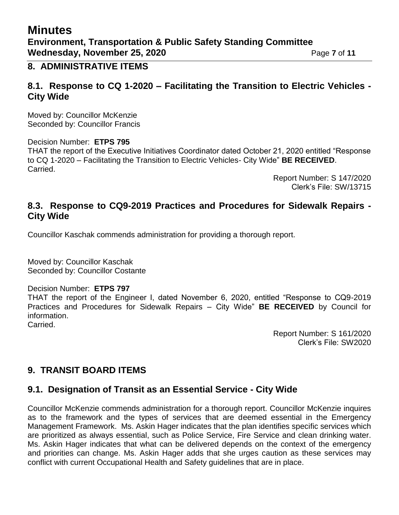## **Minutes Environment, Transportation & Public Safety Standing Committee Wednesday, November 25, 2020** Page 7 of 11

#### **8. ADMINISTRATIVE ITEMS**

#### **8.1. Response to CQ 1-2020 – Facilitating the Transition to Electric Vehicles - City Wide**

Moved by: Councillor McKenzie Seconded by: Councillor Francis

Decision Number: **ETPS 795**

THAT the report of the Executive Initiatives Coordinator dated October 21, 2020 entitled "Response to CQ 1-2020 – Facilitating the Transition to Electric Vehicles- City Wide" **BE RECEIVED**. Carried.

> Report Number: S 147/2020 Clerk's File: SW/13715

#### **8.3. Response to CQ9-2019 Practices and Procedures for Sidewalk Repairs - City Wide**

Councillor Kaschak commends administration for providing a thorough report.

Moved by: Councillor Kaschak Seconded by: Councillor Costante

#### Decision Number: **ETPS 797**

THAT the report of the Engineer I, dated November 6, 2020, entitled "Response to CQ9-2019 Practices and Procedures for Sidewalk Repairs – City Wide" **BE RECEIVED** by Council for information.

Carried.

Report Number: S 161/2020 Clerk's File: SW2020

### **9. TRANSIT BOARD ITEMS**

### **9.1. Designation of Transit as an Essential Service - City Wide**

Councillor McKenzie commends administration for a thorough report. Councillor McKenzie inquires as to the framework and the types of services that are deemed essential in the Emergency Management Framework. Ms. Askin Hager indicates that the plan identifies specific services which are prioritized as always essential, such as Police Service, Fire Service and clean drinking water. Ms. Askin Hager indicates that what can be delivered depends on the context of the emergency and priorities can change. Ms. Askin Hager adds that she urges caution as these services may conflict with current Occupational Health and Safety guidelines that are in place.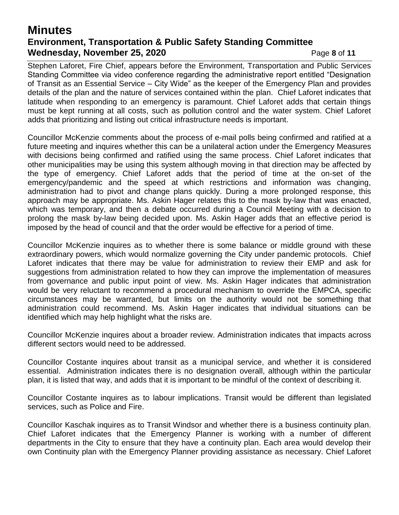## **Minutes Environment, Transportation & Public Safety Standing Committee Wednesday, November 25, 2020** Page 8 of 11

Stephen Laforet, Fire Chief, appears before the Environment, Transportation and Public Services Standing Committee via video conference regarding the administrative report entitled "Designation of Transit as an Essential Service – City Wide" as the keeper of the Emergency Plan and provides details of the plan and the nature of services contained within the plan. Chief Laforet indicates that latitude when responding to an emergency is paramount. Chief Laforet adds that certain things must be kept running at all costs, such as pollution control and the water system. Chief Laforet adds that prioritizing and listing out critical infrastructure needs is important.

Councillor McKenzie comments about the process of e-mail polls being confirmed and ratified at a future meeting and inquires whether this can be a unilateral action under the Emergency Measures with decisions being confirmed and ratified using the same process. Chief Laforet indicates that other municipalities may be using this system although moving in that direction may be affected by the type of emergency. Chief Laforet adds that the period of time at the on-set of the emergency/pandemic and the speed at which restrictions and information was changing, administration had to pivot and change plans quickly. During a more prolonged response, this approach may be appropriate. Ms. Askin Hager relates this to the mask by-law that was enacted, which was temporary, and then a debate occurred during a Council Meeting with a decision to prolong the mask by-law being decided upon. Ms. Askin Hager adds that an effective period is imposed by the head of council and that the order would be effective for a period of time.

Councillor McKenzie inquires as to whether there is some balance or middle ground with these extraordinary powers, which would normalize governing the City under pandemic protocols. Chief Laforet indicates that there may be value for administration to review their EMP and ask for suggestions from administration related to how they can improve the implementation of measures from governance and public input point of view. Ms. Askin Hager indicates that administration would be very reluctant to recommend a procedural mechanism to override the EMPCA, specific circumstances may be warranted, but limits on the authority would not be something that administration could recommend. Ms. Askin Hager indicates that individual situations can be identified which may help highlight what the risks are.

Councillor McKenzie inquires about a broader review. Administration indicates that impacts across different sectors would need to be addressed.

Councillor Costante inquires about transit as a municipal service, and whether it is considered essential. Administration indicates there is no designation overall, although within the particular plan, it is listed that way, and adds that it is important to be mindful of the context of describing it.

Councillor Costante inquires as to labour implications. Transit would be different than legislated services, such as Police and Fire.

Councillor Kaschak inquires as to Transit Windsor and whether there is a business continuity plan. Chief Laforet indicates that the Emergency Planner is working with a number of different departments in the City to ensure that they have a continuity plan. Each area would develop their own Continuity plan with the Emergency Planner providing assistance as necessary. Chief Laforet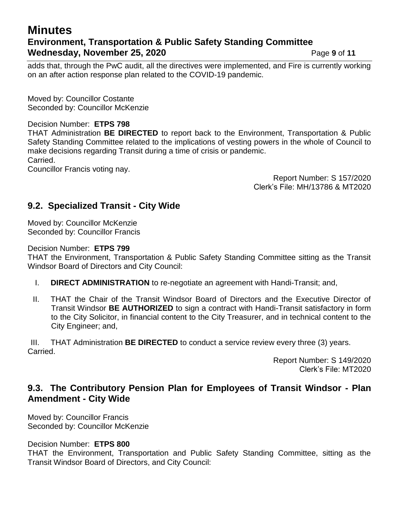## **Minutes Environment, Transportation & Public Safety Standing Committee Wednesday, November 25, 2020** Page 9 of 11

adds that, through the PwC audit, all the directives were implemented, and Fire is currently working on an after action response plan related to the COVID-19 pandemic.

Moved by: Councillor Costante Seconded by: Councillor McKenzie

#### Decision Number: **ETPS 798**

THAT Administration **BE DIRECTED** to report back to the Environment, Transportation & Public Safety Standing Committee related to the implications of vesting powers in the whole of Council to make decisions regarding Transit during a time of crisis or pandemic. Carried.

Councillor Francis voting nay.

Report Number: S 157/2020 Clerk's File: MH/13786 & MT2020

### **9.2. Specialized Transit - City Wide**

Moved by: Councillor McKenzie Seconded by: Councillor Francis

#### Decision Number: **ETPS 799**

THAT the Environment, Transportation & Public Safety Standing Committee sitting as the Transit Windsor Board of Directors and City Council:

- I. **DIRECT ADMINISTRATION** to re-negotiate an agreement with Handi-Transit; and,
- II. THAT the Chair of the Transit Windsor Board of Directors and the Executive Director of Transit Windsor **BE AUTHORIZED** to sign a contract with Handi-Transit satisfactory in form to the City Solicitor, in financial content to the City Treasurer, and in technical content to the City Engineer; and,

III. THAT Administration **BE DIRECTED** to conduct a service review every three (3) years. Carried.

> Report Number: S 149/2020 Clerk's File: MT2020

### **9.3. The Contributory Pension Plan for Employees of Transit Windsor - Plan Amendment - City Wide**

Moved by: Councillor Francis Seconded by: Councillor McKenzie

Decision Number: **ETPS 800**

THAT the Environment, Transportation and Public Safety Standing Committee, sitting as the Transit Windsor Board of Directors, and City Council: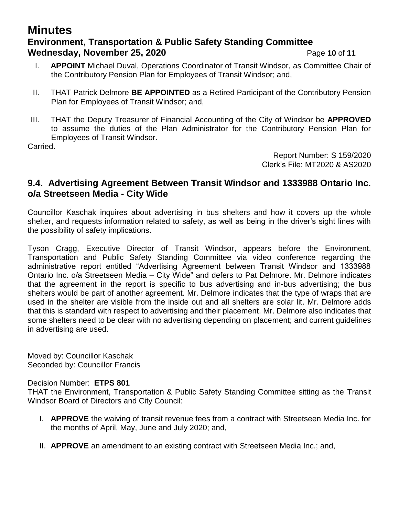## **Minutes Environment, Transportation & Public Safety Standing Committee Wednesday, November 25, 2020** Page 10 of 11

- I. **APPOINT** Michael Duval, Operations Coordinator of Transit Windsor, as Committee Chair of the Contributory Pension Plan for Employees of Transit Windsor; and,
- II. THAT Patrick Delmore **BE APPOINTED** as a Retired Participant of the Contributory Pension Plan for Employees of Transit Windsor; and,
- III. THAT the Deputy Treasurer of Financial Accounting of the City of Windsor be **APPROVED** to assume the duties of the Plan Administrator for the Contributory Pension Plan for Employees of Transit Windsor.

Carried.

Report Number: S 159/2020 Clerk's File: MT2020 & AS2020

### **9.4. Advertising Agreement Between Transit Windsor and 1333988 Ontario Inc. o/a Streetseen Media - City Wide**

Councillor Kaschak inquires about advertising in bus shelters and how it covers up the whole shelter, and requests information related to safety, as well as being in the driver's sight lines with the possibility of safety implications.

Tyson Cragg, Executive Director of Transit Windsor, appears before the Environment, Transportation and Public Safety Standing Committee via video conference regarding the administrative report entitled "Advertising Agreement between Transit Windsor and 1333988 Ontario Inc. o/a Streetseen Media – City Wide" and defers to Pat Delmore. Mr. Delmore indicates that the agreement in the report is specific to bus advertising and in-bus advertising; the bus shelters would be part of another agreement. Mr. Delmore indicates that the type of wraps that are used in the shelter are visible from the inside out and all shelters are solar lit. Mr. Delmore adds that this is standard with respect to advertising and their placement. Mr. Delmore also indicates that some shelters need to be clear with no advertising depending on placement; and current guidelines in advertising are used.

Moved by: Councillor Kaschak Seconded by: Councillor Francis

#### Decision Number: **ETPS 801**

THAT the Environment, Transportation & Public Safety Standing Committee sitting as the Transit Windsor Board of Directors and City Council:

- I. **APPROVE** the waiving of transit revenue fees from a contract with Streetseen Media Inc. for the months of April, May, June and July 2020; and,
- II. **APPROVE** an amendment to an existing contract with Streetseen Media Inc.; and,